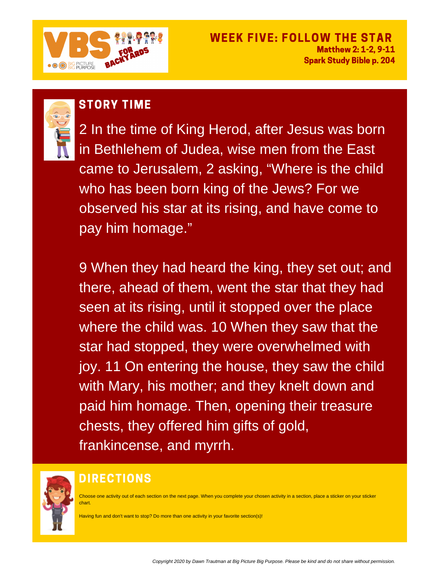2 In the time of King Herod, after Jesus was born in Bethlehem of Judea, wise men from the East came to Jerusalem, 2 asking, "Where is the child who has been born king of the Jews? For we observed his star at its rising, and have come to pay him homage. "

9 When they had heard the king, they set out; and there, ahead of them, went the star that they had seen at its rising, until it stopped over the place where the child was. 10 When they saw that the star had stopped, they were overwhelmed with joy. 11 On entering the house, they saw the child with Mary, his mother; and they knelt down and paid him homage. Then, opening their treasure chests, they offered him gifts of gold, frankincense, and myrrh.



# STORY TIME



### WEEK FIVE: FOLLOW THE STAR Matthew 2: 1-2, 9-11 Spark Study Bible p. 204



## DIRECTIONS

Choose one activity out of each section on the next page. When you complete your chosen activity in a section, place a sticker on your sticker chart.

Having fun and don't want to stop? Do more than one activity in your favorite section(s)!

Copyright 2020 by Dawn Trautman at Big Picture Big Purpose. Please be kind and do not share without permission.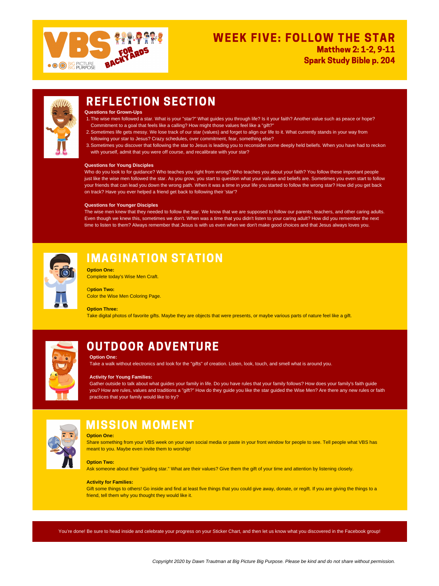- 1. The wise men followed a star. What is your "star?" What guides you through life? Is it your faith? Another value such as peace or hope? Commitment to a goal that feels like a calling? How might those values feel like a "gift?"
- 2. Sometimes life gets messy. We lose track of our star (values) and forget to align our life to it. What currently stands in your way from following your star to Jesus? Crazy schedules, over commitment, fear, something else?
- Sometimes you discover that following the star to Jesus is leading you to reconsider some deeply held beliefs. When you have had to reckon 3. with yourself, admit that you were off course, and recalibrate with your star?

**Questions for Grown-Ups**

### **Questions for Young Disciples**

Who do you look to for guidance? Who teaches you right from wrong? Who teaches you about your faith? You follow these important people just like the wise men followed the star. As you grow, you start to question what your values and beliefs are. Sometimes you even start to follow your friends that can lead you down the wrong path. When it was a time in your life you started to follow the wrong star? How did you get back on track? Have you ever helped a friend get back to following their 'star'?

Gift some things to others! Go inside and find at least five things that you could give away, donate, or regift. If you are giving the things to a friend, tell them why you thought they would like it.

### **Questions for Younger Disciples**

The wise men knew that they needed to follow the star. We know that we are supposed to follow our parents, teachers, and other caring adults. Even though we knew this, sometimes we don't. When was a time that you didn't listen to your caring adult? How did you remember the next time to listen to them? Always remember that Jesus is with us even when we don't make good choices and that Jesus always loves you.



## IMAGINATION STATION

#### **Option One:**

Share something from your VBS week on your own social media or paste in your front window for people to see. Tell people what VBS has meant to you. Maybe even invite them to worship!

### **Option Two:**

Ask someone about their "guiding star." What are their values? Give them the gift of your time and attention by listening closely.

### **Activity for Families:**

**Option One:** Complete today's Wise Men Craft.

O**ption Two:** Color the Wise Men Coloring Page.



### **Option Three:**

Take digital photos of favorite gifts. Maybe they are objects that were presents, or maybe various parts of nature feel like a gift.



## REFLECTION SECTION

## OUTDOOR ADVENTURE

## MISSION MOMENT



### WEEK FIVE: FOLLOW THE STAR Matthew 2: 1-2, 9-11 Spark Study Bible p. 204



You're done! Be sure to head inside and celebrate your progress on your Sticker Chart, and then let us know what you discovered in the Facebook group!

Copyright 2020 by Dawn Trautman at Big Picture Big Purpose. Please be kind and do not share without permission.

#### **Option One:**

Take a walk without electronics and look for the "gifts" of creation. Listen, look, touch, and smell what is around you.

### **Activity for Young Families:**

Gather outside to talk about what guides your family in life. Do you have rules that your family follows? How does your family's faith guide you? How are rules, values and traditions a "gift?" How do they guide you like the star guided the Wise Men? Are there any new rules or faith practices that your family would like to try?

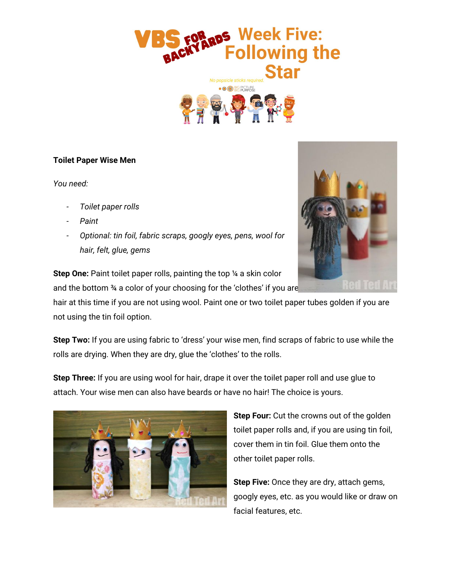

#### **Toilet Paper Wise Men**

*You need:*

- *- Toilet paper rolls*
- *- Paint*
- *- Optional: tin foil, fabric scraps, googly eyes, pens, wool for hair, felt, glue, gems*



**Step One:** Paint toilet paper rolls, painting the top ¼ a skin color and the bottom <sup>34</sup> a color of your choosing for the 'clothes' if you are **NOT USING FABRIC.** 

hair at this time if you are not using wool. Paint one or two toilet paper tubes golden if you are not using the tin foil option.

**Step Two:** If you are using fabric to 'dress' your wise men, find scraps of fabric to use while the rolls are drying. When they are dry, glue the 'clothes' to the rolls.

**Step Three:** If you are using wool for hair, drape it over the toilet paper roll and use glue to attach. Your wise men can also have beards or have no hair! The choice is yours.



**Step Four:** Cut the crowns out of the golden toilet paper rolls and, if you are using tin foil, cover them in tin foil. Glue them onto the other toilet paper rolls.

**Step Five:** Once they are dry, attach gems, googly eyes, etc. as you would like or draw on facial features, etc.